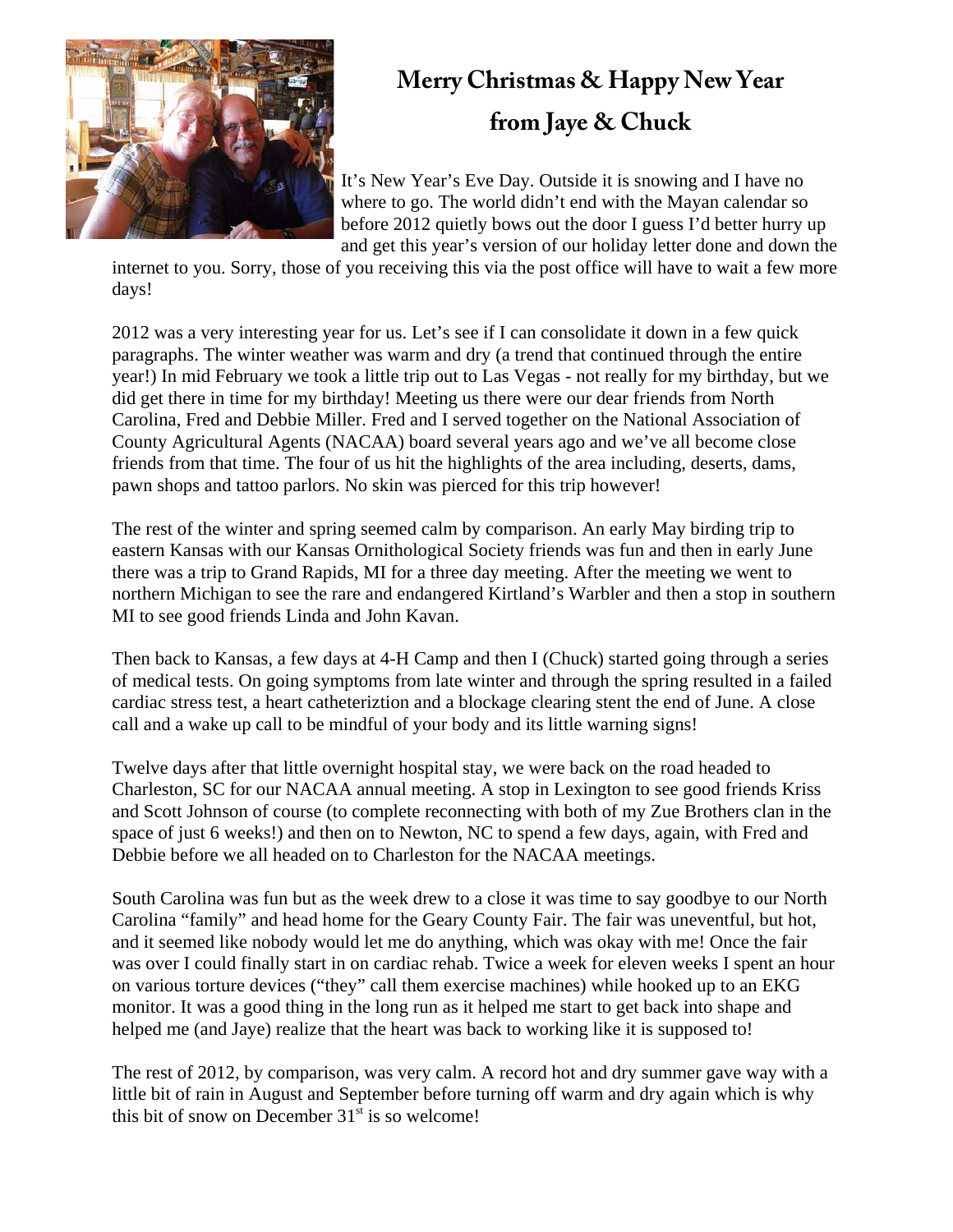

## **Merry Christmas & Happy New Year from Jaye & Chuck**

It's New Year's Eve Day. Outside it is snowing and I have no where to go. The world didn't end with the Mayan calendar so before 2012 quietly bows out the door I guess I'd better hurry up and get this year's version of our holiday letter done and down the

internet to you. Sorry, those of you receiving this via the post office will have to wait a few more days!

2012 was a very interesting year for us. Let's see if I can consolidate it down in a few quick paragraphs. The winter weather was warm and dry (a trend that continued through the entire year!) In mid February we took a little trip out to Las Vegas - not really for my birthday, but we did get there in time for my birthday! Meeting us there were our dear friends from North Carolina, Fred and Debbie Miller. Fred and I served together on the National Association of County Agricultural Agents (NACAA) board several years ago and we've all become close friends from that time. The four of us hit the highlights of the area including, deserts, dams, pawn shops and tattoo parlors. No skin was pierced for this trip however!

The rest of the winter and spring seemed calm by comparison. An early May birding trip to eastern Kansas with our Kansas Ornithological Society friends was fun and then in early June there was a trip to Grand Rapids, MI for a three day meeting. After the meeting we went to northern Michigan to see the rare and endangered Kirtland's Warbler and then a stop in southern MI to see good friends Linda and John Kavan.

Then back to Kansas, a few days at 4-H Camp and then I (Chuck) started going through a series of medical tests. On going symptoms from late winter and through the spring resulted in a failed cardiac stress test, a heart catheteriztion and a blockage clearing stent the end of June. A close call and a wake up call to be mindful of your body and its little warning signs!

Twelve days after that little overnight hospital stay, we were back on the road headed to Charleston, SC for our NACAA annual meeting. A stop in Lexington to see good friends Kriss and Scott Johnson of course (to complete reconnecting with both of my Zue Brothers clan in the space of just 6 weeks!) and then on to Newton, NC to spend a few days, again, with Fred and Debbie before we all headed on to Charleston for the NACAA meetings.

South Carolina was fun but as the week drew to a close it was time to say goodbye to our North Carolina "family" and head home for the Geary County Fair. The fair was uneventful, but hot, and it seemed like nobody would let me do anything, which was okay with me! Once the fair was over I could finally start in on cardiac rehab. Twice a week for eleven weeks I spent an hour on various torture devices ("they" call them exercise machines) while hooked up to an EKG monitor. It was a good thing in the long run as it helped me start to get back into shape and helped me (and Jaye) realize that the heart was back to working like it is supposed to!

The rest of 2012, by comparison, was very calm. A record hot and dry summer gave way with a little bit of rain in August and September before turning off warm and dry again which is why this bit of snow on December  $31<sup>st</sup>$  is so welcome!